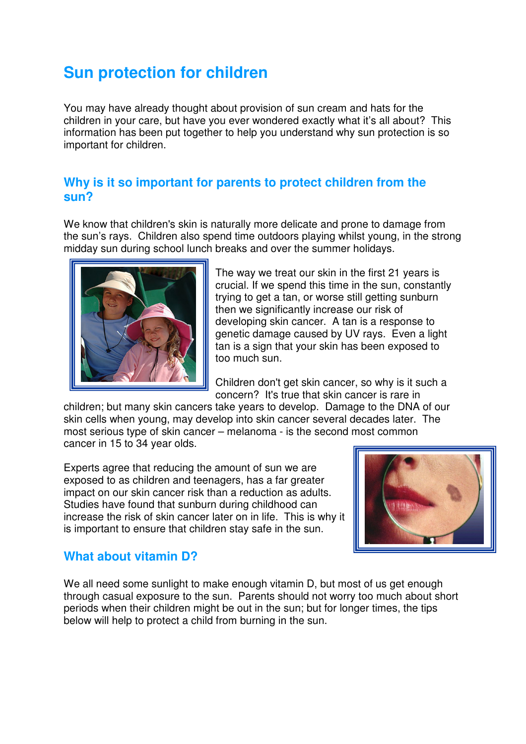## **Sun protection for children**

You may have already thought about provision of sun cream and hats for the children in your care, but have you ever wondered exactly what it's all about? This information has been put together to help you understand why sun protection is so important for children.

## **Why is it so important for parents to protect children from the sun?**

We know that children's skin is naturally more delicate and prone to damage from the sun's rays. Children also spend time outdoors playing whilst young, in the strong midday sun during school lunch breaks and over the summer holidays.



The way we treat our skin in the first 21 years is crucial. If we spend this time in the sun, constantly trying to get a tan, or worse still getting sunburn then we significantly increase our risk of developing skin cancer. A tan is a response to genetic damage caused by UV rays. Even a light tan is a sign that your skin has been exposed to too much sun.

Children don't get skin cancer, so why is it such a concern? It's true that skin cancer is rare in

children; but many skin cancers take years to develop. Damage to the DNA of our skin cells when young, may develop into skin cancer several decades later. The most serious type of skin cancer – melanoma - is the second most common cancer in 15 to 34 year olds.

Experts agree that reducing the amount of sun we are exposed to as children and teenagers, has a far greater impact on our skin cancer risk than a reduction as adults. Studies have found that sunburn during childhood can increase the risk of skin cancer later on in life. This is why it is important to ensure that children stay safe in the sun.



## **What about vitamin D?**

We all need some sunlight to make enough vitamin D, but most of us get enough through casual exposure to the sun. Parents should not worry too much about short periods when their children might be out in the sun; but for longer times, the tips below will help to protect a child from burning in the sun.